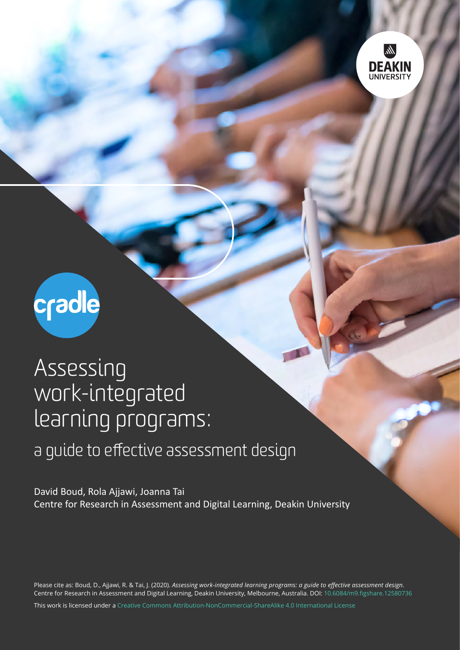



## Assessing work-integrated learning programs:

## a guide to effective assessment design

David Boud, Rola Ajjawi, Joanna Tai Centre for Research in Assessment and Digital Learning, Deakin University

Please cite as: Boud, D., Ajjawi, R. & Tai, J. (2020). *Assessing work-integrated learning programs: a guide to effective assessment design.* Centre for Research in Assessment and Digital Learning, Deakin University, Melbourne, Australia. DOI: [10.6084/m9.figshare.12580736](http://doi.org/10.6084/m9.figshare.12580736)

This work is licensed under a [Creative Commons Attribution-NonCommercial-ShareAlike 4.0 International License](http://creativecommons.org/licenses/by-nc-sa/4.0/)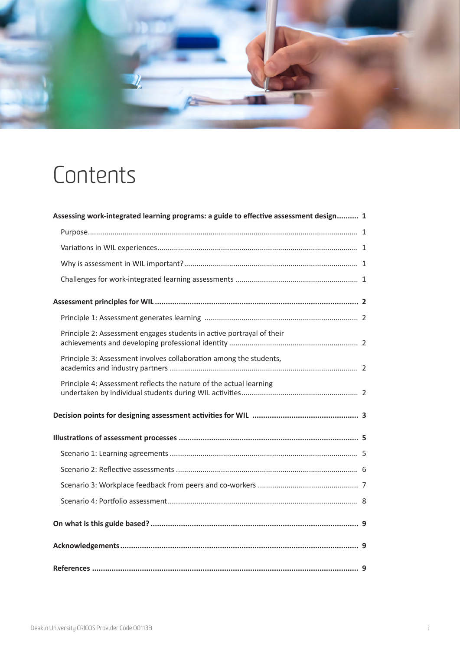

# Contents

| Assessing work-integrated learning programs: a guide to effective assessment design 1 |  |
|---------------------------------------------------------------------------------------|--|
|                                                                                       |  |
|                                                                                       |  |
|                                                                                       |  |
|                                                                                       |  |
|                                                                                       |  |
|                                                                                       |  |
| Principle 2: Assessment engages students in active portrayal of their                 |  |
| Principle 3: Assessment involves collaboration among the students,                    |  |
| Principle 4: Assessment reflects the nature of the actual learning                    |  |
|                                                                                       |  |
|                                                                                       |  |
|                                                                                       |  |
|                                                                                       |  |
|                                                                                       |  |
|                                                                                       |  |
|                                                                                       |  |
|                                                                                       |  |
|                                                                                       |  |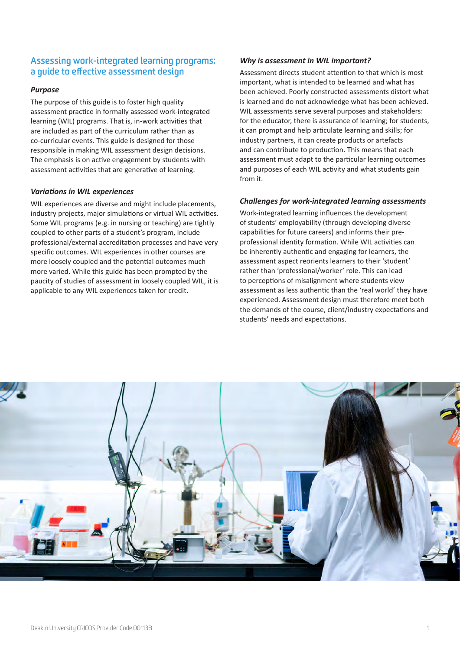## <span id="page-2-0"></span>**Assessing work-integrated learning programs: a guide to effective assessment design**

#### *Purpose*

The purpose of this guide is to foster high quality assessment practice in formally assessed work-integrated learning (WIL) programs. That is, in-work activities that are included as part of the curriculum rather than as co-curricular events. This guide is designed for those responsible in making WIL assessment design decisions. The emphasis is on active engagement by students with assessment activities that are generative of learning.

#### *Variations in WIL experiences*

WIL experiences are diverse and might include placements, industry projects, major simulations or virtual WIL activities. Some WIL programs (e.g. in nursing or teaching) are tightly coupled to other parts of a student's program, include professional/external accreditation processes and have very specific outcomes. WIL experiences in other courses are more loosely coupled and the potential outcomes much more varied. While this guide has been prompted by the paucity of studies of assessment in loosely coupled WIL, it is applicable to any WIL experiences taken for credit.

#### *Why is assessment in WIL important?*

Assessment directs student attention to that which is most important, what is intended to be learned and what has been achieved. Poorly constructed assessments distort what is learned and do not acknowledge what has been achieved. WIL assessments serve several purposes and stakeholders: for the educator, there is assurance of learning; for students, it can prompt and help articulate learning and skills; for industry partners, it can create products or artefacts and can contribute to production. This means that each assessment must adapt to the particular learning outcomes and purposes of each WIL activity and what students gain from it.

#### *Challenges for work-integrated learning assessments*

Work-integrated learning influences the development of students' employability (through developing diverse capabilities for future careers) and informs their preprofessional identity formation. While WIL activities can be inherently authentic and engaging for learners, the assessment aspect reorients learners to their 'student' rather than 'professional/worker' role. This can lead to perceptions of misalignment where students view assessment as less authentic than the 'real world' they have experienced. Assessment design must therefore meet both the demands of the course, client/industry expectations and students' needs and expectations.

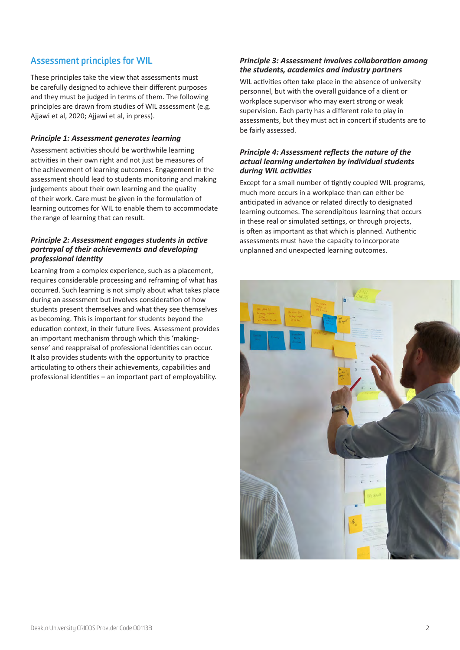## <span id="page-3-0"></span>**Assessment principles for WIL**

These principles take the view that assessments must be carefully designed to achieve their different purposes and they must be judged in terms of them. The following principles are drawn from studies of WIL assessment (e.g. Ajjawi et al, 2020; Ajjawi et al, in press).

#### *Principle 1: Assessment generates learning*

Assessment activities should be worthwhile learning activities in their own right and not just be measures of the achievement of learning outcomes. Engagement in the assessment should lead to students monitoring and making judgements about their own learning and the quality of their work. Care must be given in the formulation of learning outcomes for WIL to enable them to accommodate the range of learning that can result.

#### *Principle 2: Assessment engages students in active portrayal of their achievements and developing professional identity*

Learning from a complex experience, such as a placement, requires considerable processing and reframing of what has occurred. Such learning is not simply about what takes place during an assessment but involves consideration of how students present themselves and what they see themselves as becoming. This is important for students beyond the education context, in their future lives. Assessment provides an important mechanism through which this 'makingsense' and reappraisal of professional identities can occur. It also provides students with the opportunity to practice articulating to others their achievements, capabilities and professional identities – an important part of employability.

#### *Principle 3: Assessment involves collaboration among the students, academics and industry partners*

WIL activities often take place in the absence of university personnel, but with the overall guidance of a client or workplace supervisor who may exert strong or weak supervision. Each party has a different role to play in assessments, but they must act in concert if students are to be fairly assessed.

#### *Principle 4: Assessment reflects the nature of the actual learning undertaken by individual students during WIL activities*

Except for a small number of tightly coupled WIL programs, much more occurs in a workplace than can either be anticipated in advance or related directly to designated learning outcomes. The serendipitous learning that occurs in these real or simulated settings, or through projects, is often as important as that which is planned. Authentic assessments must have the capacity to incorporate unplanned and unexpected learning outcomes.

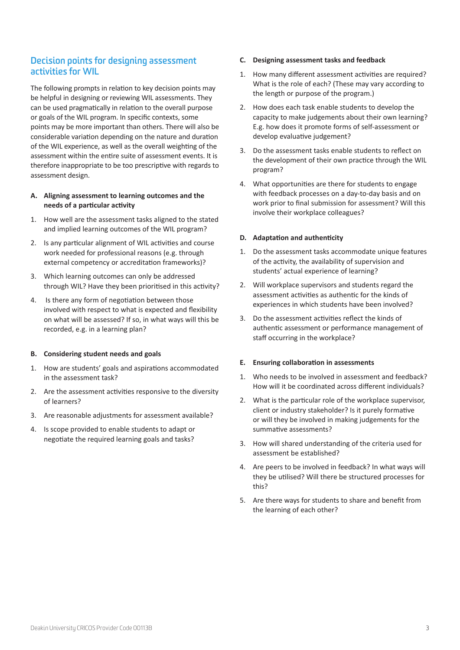## <span id="page-4-0"></span>**Decision points for designing assessment activities for WIL**

The following prompts in relation to key decision points may be helpful in designing or reviewing WIL assessments. They can be used pragmatically in relation to the overall purpose or goals of the WIL program. In specific contexts, some points may be more important than others. There will also be considerable variation depending on the nature and duration of the WIL experience, as well as the overall weighting of the assessment within the entire suite of assessment events. It is therefore inappropriate to be too prescriptive with regards to assessment design.

#### **A. Aligning assessment to learning outcomes and the needs of a particular activity**

- 1. How well are the assessment tasks aligned to the stated and implied learning outcomes of the WIL program?
- 2. Is any particular alignment of WIL activities and course work needed for professional reasons (e.g. through external competency or accreditation frameworks)?
- 3. Which learning outcomes can only be addressed through WIL? Have they been prioritised in this activity?
- 4. Is there any form of negotiation between those involved with respect to what is expected and flexibility on what will be assessed? If so, in what ways will this be recorded, e.g. in a learning plan?

#### **B. Considering student needs and goals**

- 1. How are students' goals and aspirations accommodated in the assessment task?
- 2. Are the assessment activities responsive to the diversity of learners?
- 3. Are reasonable adjustments for assessment available?
- 4. Is scope provided to enable students to adapt or negotiate the required learning goals and tasks?

#### **C. Designing assessment tasks and feedback**

- 1. How many different assessment activities are required? What is the role of each? (These may vary according to the length or purpose of the program.)
- 2. How does each task enable students to develop the capacity to make judgements about their own learning? E.g. how does it promote forms of self-assessment or develop evaluative judgement?
- 3. Do the assessment tasks enable students to reflect on the development of their own practice through the WIL program?
- 4. What opportunities are there for students to engage with feedback processes on a day-to-day basis and on work prior to final submission for assessment? Will this involve their workplace colleagues?

#### **D. Adaptation and authenticity**

- 1. Do the assessment tasks accommodate unique features of the activity, the availability of supervision and students' actual experience of learning?
- 2. Will workplace supervisors and students regard the assessment activities as authentic for the kinds of experiences in which students have been involved?
- 3. Do the assessment activities reflect the kinds of authentic assessment or performance management of staff occurring in the workplace?

#### **E. Ensuring collaboration in assessments**

- 1. Who needs to be involved in assessment and feedback? How will it be coordinated across different individuals?
- 2. What is the particular role of the workplace supervisor, client or industry stakeholder? Is it purely formative or will they be involved in making judgements for the summative assessments?
- 3. How will shared understanding of the criteria used for assessment be established?
- 4. Are peers to be involved in feedback? In what ways will they be utilised? Will there be structured processes for this?
- 5. Are there ways for students to share and benefit from the learning of each other?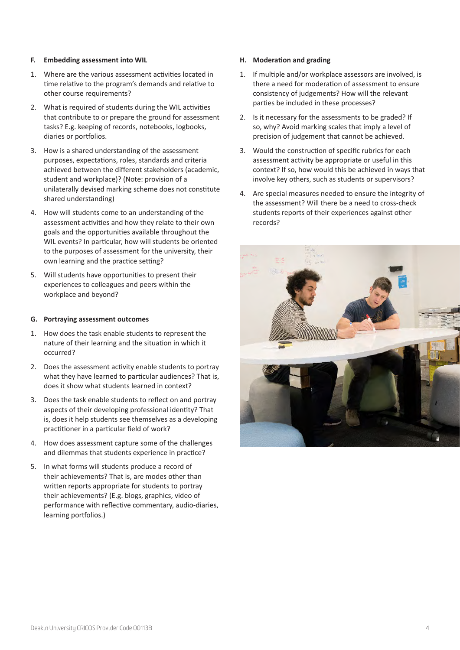#### **F. Embedding assessment into WIL**

- 1. Where are the various assessment activities located in time relative to the program's demands and relative to other course requirements?
- 2. What is required of students during the WIL activities that contribute to or prepare the ground for assessment tasks? E.g. keeping of records, notebooks, logbooks, diaries or portfolios.
- 3. How is a shared understanding of the assessment purposes, expectations, roles, standards and criteria achieved between the different stakeholders (academic, student and workplace)? (Note: provision of a unilaterally devised marking scheme does not constitute shared understanding)
- 4. How will students come to an understanding of the assessment activities and how they relate to their own goals and the opportunities available throughout the WIL events? In particular, how will students be oriented to the purposes of assessment for the university, their own learning and the practice setting?
- 5. Will students have opportunities to present their experiences to colleagues and peers within the workplace and beyond?

#### **G. Portraying assessment outcomes**

- 1. How does the task enable students to represent the nature of their learning and the situation in which it occurred?
- 2. Does the assessment activity enable students to portray what they have learned to particular audiences? That is, does it show what students learned in context?
- 3. Does the task enable students to reflect on and portray aspects of their developing professional identity? That is, does it help students see themselves as a developing practitioner in a particular field of work?
- 4. How does assessment capture some of the challenges and dilemmas that students experience in practice?
- 5. In what forms will students produce a record of their achievements? That is, are modes other than written reports appropriate for students to portray their achievements? (E.g. blogs, graphics, video of performance with reflective commentary, audio-diaries, learning portfolios.)

#### **H. Moderation and grading**

- 1. If multiple and/or workplace assessors are involved, is there a need for moderation of assessment to ensure consistency of judgements? How will the relevant parties be included in these processes?
- 2. Is it necessary for the assessments to be graded? If so, why? Avoid marking scales that imply a level of precision of judgement that cannot be achieved.
- 3. Would the construction of specific rubrics for each assessment activity be appropriate or useful in this context? If so, how would this be achieved in ways that involve key others, such as students or supervisors?
- 4. Are special measures needed to ensure the integrity of the assessment? Will there be a need to cross-check students reports of their experiences against other records?

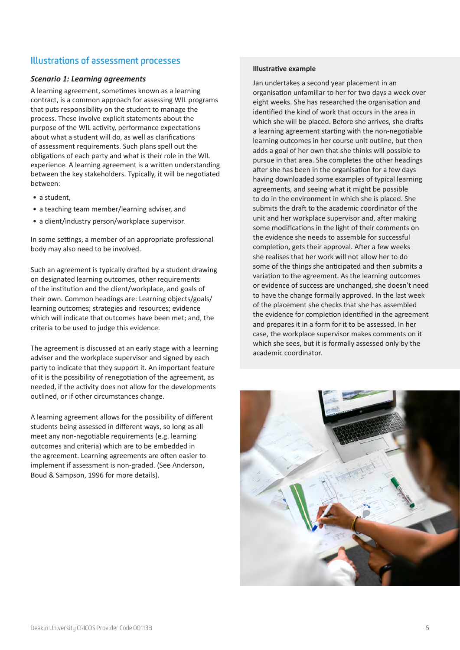## <span id="page-6-0"></span>**Illustrations of assessment processes**

#### *Scenario 1: Learning agreements*

A learning agreement, sometimes known as a learning contract, is a common approach for assessing WIL programs that puts responsibility on the student to manage the process. These involve explicit statements about the purpose of the WIL activity, performance expectations about what a student will do, as well as clarifications of assessment requirements. Such plans spell out the obligations of each party and what is their role in the WIL experience. A learning agreement is a written understanding between the key stakeholders. Typically, it will be negotiated between:

- a student,
- a teaching team member/learning adviser, and
- a client/industry person/workplace supervisor.

In some settings, a member of an appropriate professional body may also need to be involved.

Such an agreement is typically drafted by a student drawing on designated learning outcomes, other requirements of the institution and the client/workplace, and goals of their own. Common headings are: Learning objects/goals/ learning outcomes; strategies and resources; evidence which will indicate that outcomes have been met; and, the criteria to be used to judge this evidence.

The agreement is discussed at an early stage with a learning adviser and the workplace supervisor and signed by each party to indicate that they support it. An important feature of it is the possibility of renegotiation of the agreement, as needed, if the activity does not allow for the developments outlined, or if other circumstances change.

A learning agreement allows for the possibility of different students being assessed in different ways, so long as all meet any non-negotiable requirements (e.g. learning outcomes and criteria) which are to be embedded in the agreement. Learning agreements are often easier to implement if assessment is non-graded. (See Anderson, Boud & Sampson, 1996 for more details).

#### **Illustrative example**

Jan undertakes a second year placement in an organisation unfamiliar to her for two days a week over eight weeks. She has researched the organisation and identified the kind of work that occurs in the area in which she will be placed. Before she arrives, she drafts a learning agreement starting with the non-negotiable learning outcomes in her course unit outline, but then adds a goal of her own that she thinks will possible to pursue in that area. She completes the other headings after she has been in the organisation for a few days having downloaded some examples of typical learning agreements, and seeing what it might be possible to do in the environment in which she is placed. She submits the draft to the academic coordinator of the unit and her workplace supervisor and, after making some modifications in the light of their comments on the evidence she needs to assemble for successful completion, gets their approval. After a few weeks she realises that her work will not allow her to do some of the things she anticipated and then submits a variation to the agreement. As the learning outcomes or evidence of success are unchanged, she doesn't need to have the change formally approved. In the last week of the placement she checks that she has assembled the evidence for completion identified in the agreement and prepares it in a form for it to be assessed. In her case, the workplace supervisor makes comments on it which she sees, but it is formally assessed only by the academic coordinator.

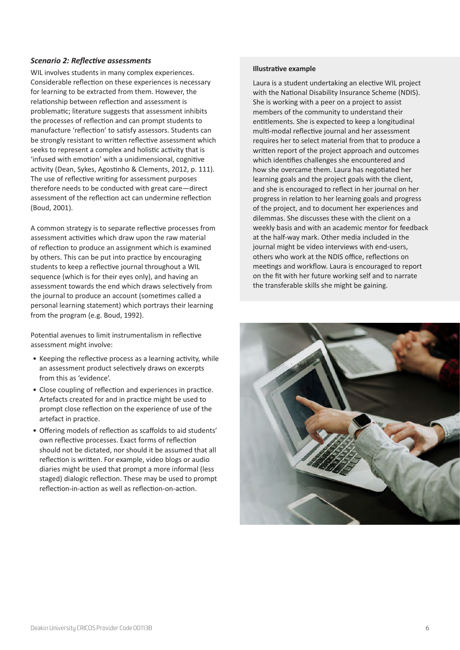#### <span id="page-7-0"></span>*Scenario 2: Reflective assessments*

WIL involves students in many complex experiences. Considerable reflection on these experiences is necessary for learning to be extracted from them. However, the relationship between reflection and assessment is problematic; literature suggests that assessment inhibits the processes of reflection and can prompt students to manufacture 'reflection' to satisfy assessors. Students can be strongly resistant to written reflective assessment which seeks to represent a complex and holistic activity that is 'infused with emotion' with a unidimensional, cognitive activity (Dean, Sykes, Agostinho & Clements, 2012, p. 111). The use of reflective writing for assessment purposes therefore needs to be conducted with great care—direct assessment of the reflection act can undermine reflection (Boud, 2001).

A common strategy is to separate reflective processes from assessment activities which draw upon the raw material of reflection to produce an assignment which is examined by others. This can be put into practice by encouraging students to keep a reflective journal throughout a WIL sequence (which is for their eyes only), and having an assessment towards the end which draws selectively from the journal to produce an account (sometimes called a personal learning statement) which portrays their learning from the program (e.g. Boud, 1992).

Potential avenues to limit instrumentalism in reflective assessment might involve:

- Keeping the reflective process as a learning activity, while an assessment product selectively draws on excerpts from this as 'evidence'.
- Close coupling of reflection and experiences in practice. Artefacts created for and in practice might be used to prompt close reflection on the experience of use of the artefact in practice.
- Offering models of reflection as scaffolds to aid students' own reflective processes. Exact forms of reflection should not be dictated, nor should it be assumed that all reflection is written. For example, video blogs or audio diaries might be used that prompt a more informal (less staged) dialogic reflection. These may be used to prompt reflection-in-action as well as reflection-on-action.

#### **Illustrative example**

Laura is a student undertaking an elective WIL project with the National Disability Insurance Scheme (NDIS). She is working with a peer on a project to assist members of the community to understand their entitlements. She is expected to keep a longitudinal multi-modal reflective journal and her assessment requires her to select material from that to produce a written report of the project approach and outcomes which identifies challenges she encountered and how she overcame them. Laura has negotiated her learning goals and the project goals with the client, and she is encouraged to reflect in her journal on her progress in relation to her learning goals and progress of the project, and to document her experiences and dilemmas. She discusses these with the client on a weekly basis and with an academic mentor for feedback at the half-way mark. Other media included in the journal might be video interviews with end-users, others who work at the NDIS office, reflections on meetings and workflow. Laura is encouraged to report on the fit with her future working self and to narrate the transferable skills she might be gaining.

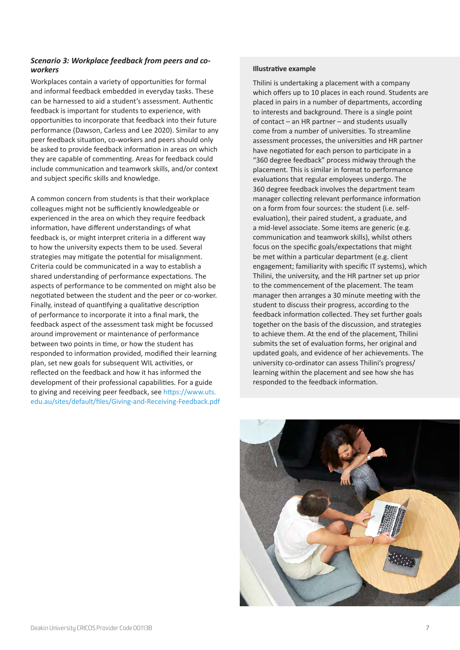#### <span id="page-8-0"></span>*Scenario 3: Workplace feedback from peers and coworkers*

Workplaces contain a variety of opportunities for formal and informal feedback embedded in everyday tasks. These can be harnessed to aid a student's assessment. Authentic feedback is important for students to experience, with opportunities to incorporate that feedback into their future performance (Dawson, Carless and Lee 2020). Similar to any peer feedback situation, co-workers and peers should only be asked to provide feedback information in areas on which they are capable of commenting. Areas for feedback could include communication and teamwork skills, and/or context and subject specific skills and knowledge.

A common concern from students is that their workplace colleagues might not be sufficiently knowledgeable or experienced in the area on which they require feedback information, have different understandings of what feedback is, or might interpret criteria in a different way to how the university expects them to be used. Several strategies may mitigate the potential for misalignment. Criteria could be communicated in a way to establish a shared understanding of performance expectations. The aspects of performance to be commented on might also be negotiated between the student and the peer or co-worker. Finally, instead of quantifying a qualitative description of performance to incorporate it into a final mark, the feedback aspect of the assessment task might be focussed around improvement or maintenance of performance between two points in time, or how the student has responded to information provided, modified their learning plan, set new goals for subsequent WIL activities, or reflected on the feedback and how it has informed the development of their professional capabilities. For a guide to giving and receiving peer feedback, see [https://www.uts.](https://www.uts.edu.au/sites/default/files/Giving-and-Receiving-Feedback.pdf) [edu.au/sites/default/files/Giving-and-Receiving-Feedback.pdf](https://www.uts.edu.au/sites/default/files/Giving-and-Receiving-Feedback.pdf)

#### **Illustrative example**

Thilini is undertaking a placement with a company which offers up to 10 places in each round. Students are placed in pairs in a number of departments, according to interests and background. There is a single point of contact – an HR partner – and students usually come from a number of universities. To streamline assessment processes, the universities and HR partner have negotiated for each person to participate in a "360 degree feedback" process midway through the placement. This is similar in format to performance evaluations that regular employees undergo. The 360 degree feedback involves the department team manager collecting relevant performance information on a form from four sources: the student (i.e. selfevaluation), their paired student, a graduate, and a mid-level associate. Some items are generic (e.g. communication and teamwork skills), whilst others focus on the specific goals/expectations that might be met within a particular department (e.g. client engagement; familiarity with specific IT systems), which Thilini, the university, and the HR partner set up prior to the commencement of the placement. The team manager then arranges a 30 minute meeting with the student to discuss their progress, according to the feedback information collected. They set further goals together on the basis of the discussion, and strategies to achieve them. At the end of the placement, Thilini submits the set of evaluation forms, her original and updated goals, and evidence of her achievements. The university co-ordinator can assess Thilini's progress/ learning within the placement and see how she has responded to the feedback information.

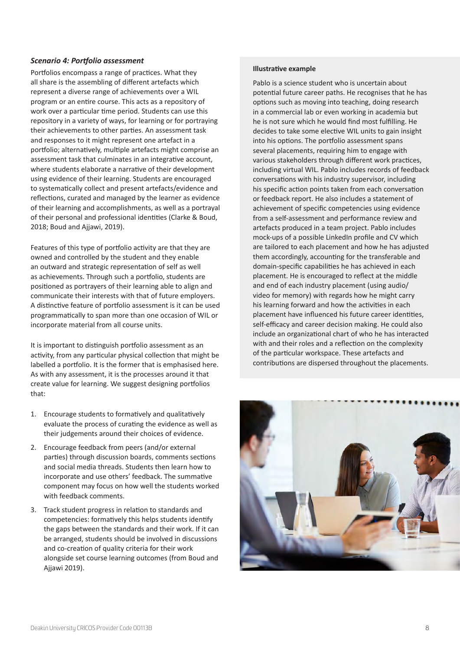#### <span id="page-9-0"></span>*Scenario 4: Portfolio assessment*

Portfolios encompass a range of practices. What they all share is the assembling of different artefacts which represent a diverse range of achievements over a WIL program or an entire course. This acts as a repository of work over a particular time period. Students can use this repository in a variety of ways, for learning or for portraying their achievements to other parties. An assessment task and responses to it might represent one artefact in a portfolio; alternatively, multiple artefacts might comprise an assessment task that culminates in an integrative account, where students elaborate a narrative of their development using evidence of their learning. Students are encouraged to systematically collect and present artefacts/evidence and reflections, curated and managed by the learner as evidence of their learning and accomplishments, as well as a portrayal of their personal and professional identities (Clarke & Boud, 2018; Boud and Ajjawi, 2019).

Features of this type of portfolio activity are that they are owned and controlled by the student and they enable an outward and strategic representation of self as well as achievements. Through such a portfolio, students are positioned as portrayers of their learning able to align and communicate their interests with that of future employers. A distinctive feature of portfolio assessment is it can be used programmatically to span more than one occasion of WIL or incorporate material from all course units.

It is important to distinguish portfolio assessment as an activity, from any particular physical collection that might be labelled a portfolio. It is the former that is emphasised here. As with any assessment, it is the processes around it that create value for learning. We suggest designing portfolios that:

- 1. Encourage students to formatively and qualitatively evaluate the process of curating the evidence as well as their judgements around their choices of evidence.
- 2. Encourage feedback from peers (and/or external parties) through discussion boards, comments sections and social media threads. Students then learn how to incorporate and use others' feedback. The summative component may focus on how well the students worked with feedback comments.
- 3. Track student progress in relation to standards and competencies: formatively this helps students identify the gaps between the standards and their work. If it can be arranged, students should be involved in discussions and co-creation of quality criteria for their work alongside set course learning outcomes (from Boud and Ajjawi 2019).

#### **Illustrative example**

Pablo is a science student who is uncertain about potential future career paths. He recognises that he has options such as moving into teaching, doing research in a commercial lab or even working in academia but he is not sure which he would find most fulfilling. He decides to take some elective WIL units to gain insight into his options. The portfolio assessment spans several placements, requiring him to engage with various stakeholders through different work practices, including virtual WIL. Pablo includes records of feedback conversations with his industry supervisor, including his specific action points taken from each conversation or feedback report. He also includes a statement of achievement of specific competencies using evidence from a self-assessment and performance review and artefacts produced in a team project. Pablo includes mock-ups of a possible LinkedIn profile and CV which are tailored to each placement and how he has adjusted them accordingly, accounting for the transferable and domain-specific capabilities he has achieved in each placement. He is encouraged to reflect at the middle and end of each industry placement (using audio/ video for memory) with regards how he might carry his learning forward and how the activities in each placement have influenced his future career identities, self-efficacy and career decision making. He could also include an organizational chart of who he has interacted with and their roles and a reflection on the complexity of the particular workspace. These artefacts and contributions are dispersed throughout the placements.